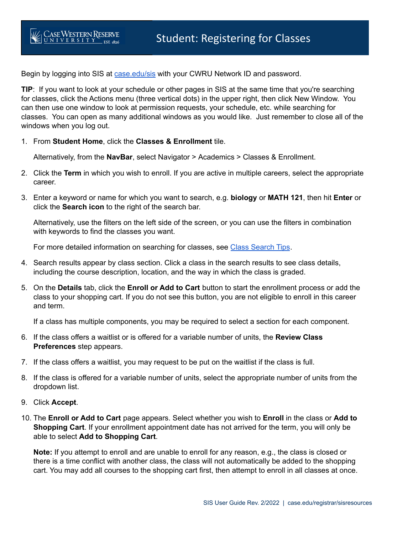Begin by logging into SIS at [case.edu/sis](https://sis.case.edu/) with your CWRU Network ID and password.

 **TIP**: If you want to look at your schedule or other pages in SIS at the same time that you're searching for classes, click the Actions menu (three vertical dots) in the upper right, then click New Window. You can then use one window to look at permission requests, your schedule, etc. while searching for classes. You can open as many additional windows as you would like. Just remember to close all of the windows when you log out.

1. From **Student Home**, click the **Classes & Enrollment** tile.

Alternatively, from the **NavBar**, select Navigator > Academics > Classes & Enrollment.

- 2. Click the **Term** in which you wish to enroll. If you are active in multiple careers, select the appropriate career.
- 3. Enter a keyword or name for which you want to search, e.g. **biology** or **MATH 121**, then hit **Enter** or click the **Search icon** to the right of the search bar.

 Alternatively, use the filters on the left side of the screen, or you can use the filters in combination with keywords to find the classes you want.

For more detailed information on searching for classes, see Class [Search](https://case.edu/registrar/registration-classes/class-search/search-tips) Tips.

- 4. Search results appear by class section. Click a class in the search results to see class details, including the course description, location, and the way in which the class is graded.
- 5. On the **Details** tab, click the **Enroll or Add to Cart** button to start the enrollment process or add the class to your shopping cart. If you do not see this button, you are not eligible to enroll in this career and term.

If a class has multiple components, you may be required to select a section for each component.

- 6. If the class offers a waitlist or is offered for a variable number of units, the **Review Class Preferences** step appears.
- 7. If the class offers a waitlist, you may request to be put on the waitlist if the class is full.
- 8. If the class is offered for a variable number of units, select the appropriate number of units from the dropdown list.
- 9. Click **Accept**.
- 10. The **Enroll or Add to Cart** page appears. Select whether you wish to **Enroll** in the class or **Add to Shopping Cart**. If your enrollment appointment date has not arrived for the term, you will only be able to select **Add to Shopping Cart**.

 **Note:** If you attempt to enroll and are unable to enroll for any reason, e.g., the class is closed or there is a time conflict with another class, the class will not automatically be added to the shopping cart. You may add all courses to the shopping cart first, then attempt to enroll in all classes at once.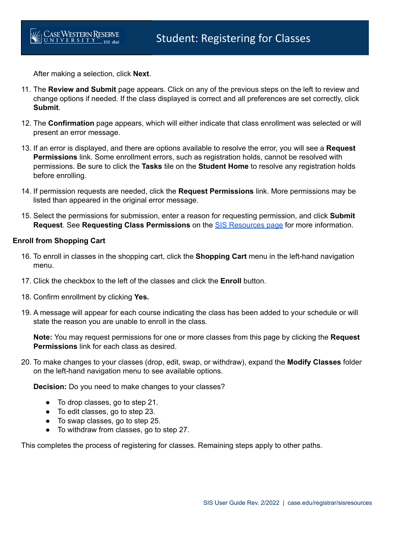After making a selection, click **Next**.

- 11. The **Review and Submit** page appears. Click on any of the previous steps on the left to review and change options if needed. If the class displayed is correct and all preferences are set correctly, click **Submit**.
- 12. The **Confirmation** page appears, which will either indicate that class enrollment was selected or will present an error message.
- 13. If an error is displayed, and there are options available to resolve the error, you will see a **Request Permissions** link. Some enrollment errors, such as registration holds, cannot be resolved with permissions. Be sure to click the **Tasks** tile on the **Student Home** to resolve any registration holds before enrolling.
- 14. If permission requests are needed, click the **Request Permissions** link. More permissions may be listed than appeared in the original error message.
- 15. Select the permissions for submission, enter a reason for requesting permission, and click **Submit Request**. See **Requesting Class Permissions** on the SIS [Resources](https://case.edu/registrar/sisresources) page for more information.

# **Enroll from Shopping Cart**

- 16. To enroll in classes in the shopping cart, click the **Shopping Cart** menu in the left-hand navigation menu.
- 17. Click the checkbox to the left of the classes and click the **Enroll** button.
- 18. Confirm enrollment by clicking **Yes.**
- 19. A message will appear for each course indicating the class has been added to your schedule or will state the reason you are unable to enroll in the class.

 **Note:** You may request permissions for one or more classes from this page by clicking the **Request Permissions** link for each class as desired.

 20. To make changes to your classes (drop, edit, swap, or withdraw), expand the **Modify Classes** folder on the left-hand navigation menu to see available options.

**Decision:** Do you need to make changes to your classes?

- To drop classes, go to step 21.
- To edit classes, go to step 23.
- To swap classes, go to step 25.
- $\bullet$ To withdraw from classes, go to step 27.

This completes the process of registering for classes. Remaining steps apply to other paths.